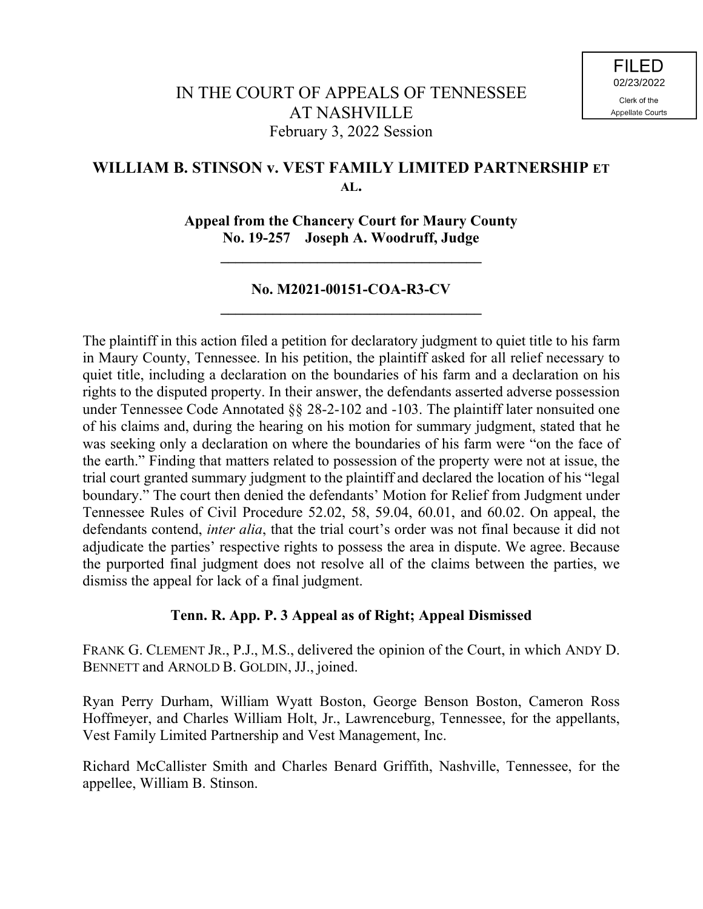# **WILLIAM B. STINSON v. VEST FAMILY LIMITED PARTNERSHIP ET AL.**

**Appeal from the Chancery Court for Maury County No. 19-257 Joseph A. Woodruff, Judge**

**\_\_\_\_\_\_\_\_\_\_\_\_\_\_\_\_\_\_\_\_\_\_\_\_\_\_\_\_\_\_\_\_\_\_\_**

# **No. M2021-00151-COA-R3-CV \_\_\_\_\_\_\_\_\_\_\_\_\_\_\_\_\_\_\_\_\_\_\_\_\_\_\_\_\_\_\_\_\_\_\_**

The plaintiff in this action filed a petition for declaratory judgment to quiet title to his farm in Maury County, Tennessee. In his petition, the plaintiff asked for all relief necessary to quiet title, including a declaration on the boundaries of his farm and a declaration on his rights to the disputed property. In their answer, the defendants asserted adverse possession under Tennessee Code Annotated §§ 28-2-102 and -103. The plaintiff later nonsuited one of his claims and, during the hearing on his motion for summary judgment, stated that he was seeking only a declaration on where the boundaries of his farm were "on the face of the earth." Finding that matters related to possession of the property were not at issue, the trial court granted summary judgment to the plaintiff and declared the location of his "legal boundary." The court then denied the defendants' Motion for Relief from Judgment under Tennessee Rules of Civil Procedure 52.02, 58, 59.04, 60.01, and 60.02. On appeal, the defendants contend, *inter alia*, that the trial court's order was not final because it did not adjudicate the parties' respective rights to possess the area in dispute. We agree. Because the purported final judgment does not resolve all of the claims between the parties, we dismiss the appeal for lack of a final judgment.

# **Tenn. R. App. P. 3 Appeal as of Right; Appeal Dismissed**

FRANK G. CLEMENT JR., P.J., M.S., delivered the opinion of the Court, in which ANDY D. BENNETT and ARNOLD B. GOLDIN, JJ., joined.

Ryan Perry Durham, William Wyatt Boston, George Benson Boston, Cameron Ross Hoffmeyer, and Charles William Holt, Jr., Lawrenceburg, Tennessee, for the appellants, Vest Family Limited Partnership and Vest Management, Inc.

Richard McCallister Smith and Charles Benard Griffith, Nashville, Tennessee, for the appellee, William B. Stinson.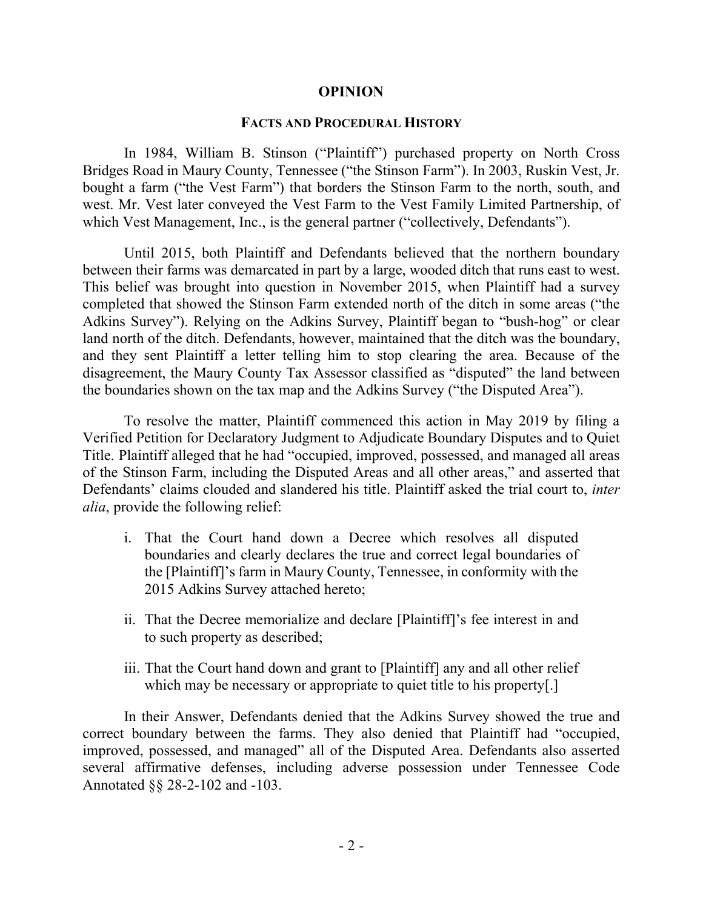#### **OPINION**

#### **FACTS AND PROCEDURAL HISTORY**

In 1984, William B. Stinson ("Plaintiff") purchased property on North Cross Bridges Road in Maury County, Tennessee ("the Stinson Farm"). In 2003, Ruskin Vest, Jr. bought a farm ("the Vest Farm") that borders the Stinson Farm to the north, south, and west. Mr. Vest later conveyed the Vest Farm to the Vest Family Limited Partnership, of which Vest Management, Inc., is the general partner ("collectively, Defendants").

Until 2015, both Plaintiff and Defendants believed that the northern boundary between their farms was demarcated in part by a large, wooded ditch that runs east to west. This belief was brought into question in November 2015, when Plaintiff had a survey completed that showed the Stinson Farm extended north of the ditch in some areas ("the Adkins Survey"). Relying on the Adkins Survey, Plaintiff began to "bush-hog" or clear land north of the ditch. Defendants, however, maintained that the ditch was the boundary, and they sent Plaintiff a letter telling him to stop clearing the area. Because of the disagreement, the Maury County Tax Assessor classified as "disputed" the land between the boundaries shown on the tax map and the Adkins Survey ("the Disputed Area").

To resolve the matter, Plaintiff commenced this action in May 2019 by filing a Verified Petition for Declaratory Judgment to Adjudicate Boundary Disputes and to Quiet Title. Plaintiff alleged that he had "occupied, improved, possessed, and managed all areas of the Stinson Farm, including the Disputed Areas and all other areas," and asserted that Defendants' claims clouded and slandered his title. Plaintiff asked the trial court to, *inter alia*, provide the following relief:

- i. That the Court hand down a Decree which resolves all disputed boundaries and clearly declares the true and correct legal boundaries of the [Plaintiff]'s farm in Maury County, Tennessee, in conformity with the 2015 Adkins Survey attached hereto;
- ii. That the Decree memorialize and declare [Plaintiff]'s fee interest in and to such property as described;
- iii. That the Court hand down and grant to [Plaintiff] any and all other relief which may be necessary or appropriate to quiet title to his property[.]

In their Answer, Defendants denied that the Adkins Survey showed the true and correct boundary between the farms. They also denied that Plaintiff had "occupied, improved, possessed, and managed" all of the Disputed Area. Defendants also asserted several affirmative defenses, including adverse possession under Tennessee Code Annotated §§ 28-2-102 and -103.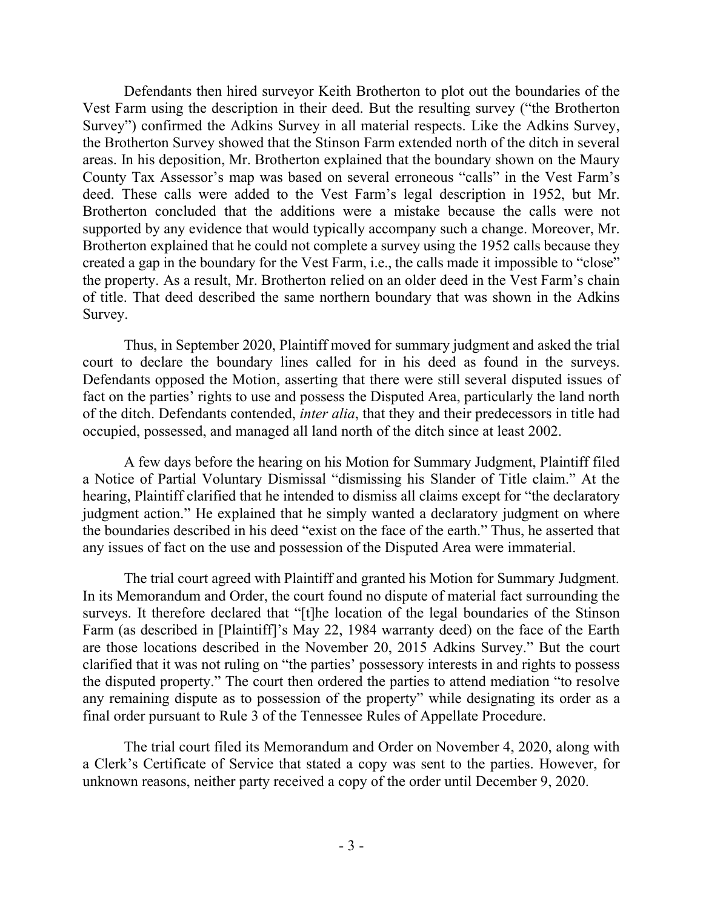Defendants then hired surveyor Keith Brotherton to plot out the boundaries of the Vest Farm using the description in their deed. But the resulting survey ("the Brotherton Survey") confirmed the Adkins Survey in all material respects. Like the Adkins Survey, the Brotherton Survey showed that the Stinson Farm extended north of the ditch in several areas. In his deposition, Mr. Brotherton explained that the boundary shown on the Maury County Tax Assessor's map was based on several erroneous "calls" in the Vest Farm's deed. These calls were added to the Vest Farm's legal description in 1952, but Mr. Brotherton concluded that the additions were a mistake because the calls were not supported by any evidence that would typically accompany such a change. Moreover, Mr. Brotherton explained that he could not complete a survey using the 1952 calls because they created a gap in the boundary for the Vest Farm, i.e., the calls made it impossible to "close" the property. As a result, Mr. Brotherton relied on an older deed in the Vest Farm's chain of title. That deed described the same northern boundary that was shown in the Adkins Survey.

Thus, in September 2020, Plaintiff moved for summary judgment and asked the trial court to declare the boundary lines called for in his deed as found in the surveys. Defendants opposed the Motion, asserting that there were still several disputed issues of fact on the parties' rights to use and possess the Disputed Area, particularly the land north of the ditch. Defendants contended, *inter alia*, that they and their predecessors in title had occupied, possessed, and managed all land north of the ditch since at least 2002.

A few days before the hearing on his Motion for Summary Judgment, Plaintiff filed a Notice of Partial Voluntary Dismissal "dismissing his Slander of Title claim." At the hearing, Plaintiff clarified that he intended to dismiss all claims except for "the declaratory judgment action." He explained that he simply wanted a declaratory judgment on where the boundaries described in his deed "exist on the face of the earth." Thus, he asserted that any issues of fact on the use and possession of the Disputed Area were immaterial.

The trial court agreed with Plaintiff and granted his Motion for Summary Judgment. In its Memorandum and Order, the court found no dispute of material fact surrounding the surveys. It therefore declared that "[t]he location of the legal boundaries of the Stinson Farm (as described in [Plaintiff]'s May 22, 1984 warranty deed) on the face of the Earth are those locations described in the November 20, 2015 Adkins Survey." But the court clarified that it was not ruling on "the parties' possessory interests in and rights to possess the disputed property." The court then ordered the parties to attend mediation "to resolve any remaining dispute as to possession of the property" while designating its order as a final order pursuant to Rule 3 of the Tennessee Rules of Appellate Procedure.

The trial court filed its Memorandum and Order on November 4, 2020, along with a Clerk's Certificate of Service that stated a copy was sent to the parties. However, for unknown reasons, neither party received a copy of the order until December 9, 2020.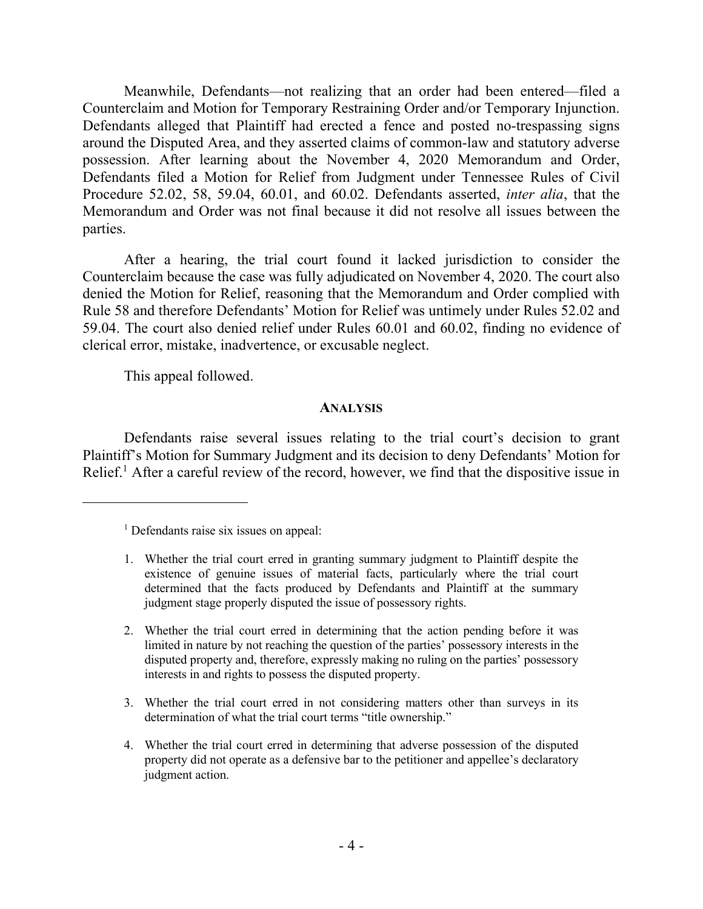Meanwhile, Defendants—not realizing that an order had been entered—filed a Counterclaim and Motion for Temporary Restraining Order and/or Temporary Injunction. Defendants alleged that Plaintiff had erected a fence and posted no-trespassing signs around the Disputed Area, and they asserted claims of common-law and statutory adverse possession. After learning about the November 4, 2020 Memorandum and Order, Defendants filed a Motion for Relief from Judgment under Tennessee Rules of Civil Procedure 52.02, 58, 59.04, 60.01, and 60.02. Defendants asserted, *inter alia*, that the Memorandum and Order was not final because it did not resolve all issues between the parties.

After a hearing, the trial court found it lacked jurisdiction to consider the Counterclaim because the case was fully adjudicated on November 4, 2020. The court also denied the Motion for Relief, reasoning that the Memorandum and Order complied with Rule 58 and therefore Defendants' Motion for Relief was untimely under Rules 52.02 and 59.04. The court also denied relief under Rules 60.01 and 60.02, finding no evidence of clerical error, mistake, inadvertence, or excusable neglect.

This appeal followed.

 $\overline{a}$ 

### **ANALYSIS**

Defendants raise several issues relating to the trial court's decision to grant Plaintiff's Motion for Summary Judgment and its decision to deny Defendants' Motion for Relief.<sup>1</sup> After a careful review of the record, however, we find that the dispositive issue in

- 1. Whether the trial court erred in granting summary judgment to Plaintiff despite the existence of genuine issues of material facts, particularly where the trial court determined that the facts produced by Defendants and Plaintiff at the summary judgment stage properly disputed the issue of possessory rights.
- 2. Whether the trial court erred in determining that the action pending before it was limited in nature by not reaching the question of the parties' possessory interests in the disputed property and, therefore, expressly making no ruling on the parties' possessory interests in and rights to possess the disputed property.
- 3. Whether the trial court erred in not considering matters other than surveys in its determination of what the trial court terms "title ownership."
- 4. Whether the trial court erred in determining that adverse possession of the disputed property did not operate as a defensive bar to the petitioner and appellee's declaratory judgment action.

 $<sup>1</sup>$  Defendants raise six issues on appeal:</sup>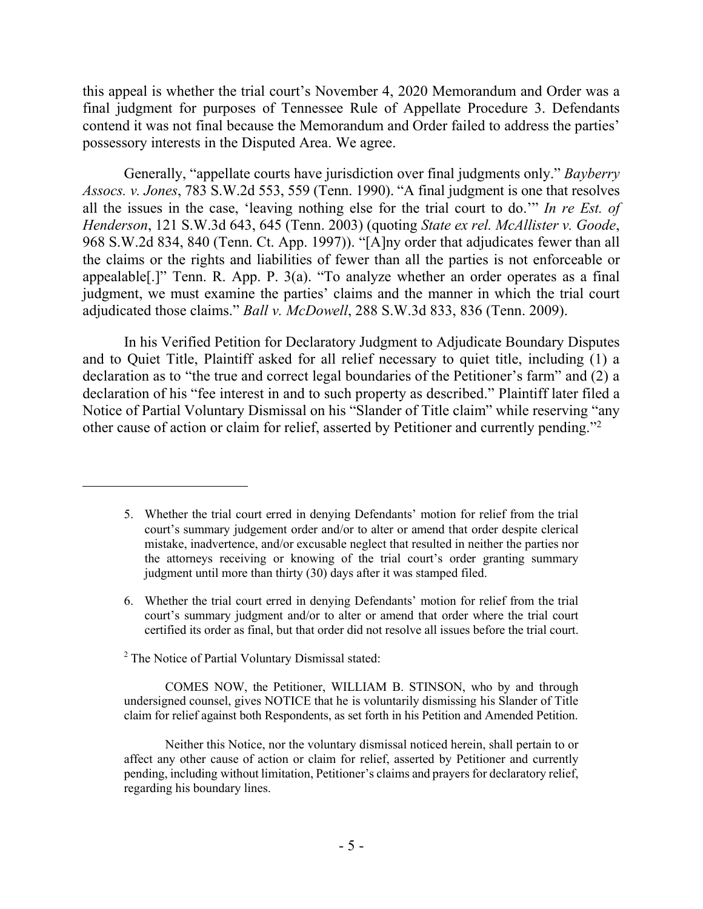this appeal is whether the trial court's November 4, 2020 Memorandum and Order was a final judgment for purposes of Tennessee Rule of Appellate Procedure 3. Defendants contend it was not final because the Memorandum and Order failed to address the parties' possessory interests in the Disputed Area. We agree.

Generally, "appellate courts have jurisdiction over final judgments only." *Bayberry Assocs. v. Jones*, 783 S.W.2d 553, 559 (Tenn. 1990). "A final judgment is one that resolves all the issues in the case, 'leaving nothing else for the trial court to do.'" *In re Est. of Henderson*, 121 S.W.3d 643, 645 (Tenn. 2003) (quoting *State ex rel. McAllister v. Goode*, 968 S.W.2d 834, 840 (Tenn. Ct. App. 1997)). "[A]ny order that adjudicates fewer than all the claims or the rights and liabilities of fewer than all the parties is not enforceable or appealable[.]" Tenn. R. App. P. 3(a). "To analyze whether an order operates as a final judgment, we must examine the parties' claims and the manner in which the trial court adjudicated those claims." *Ball v. McDowell*, 288 S.W.3d 833, 836 (Tenn. 2009).

In his Verified Petition for Declaratory Judgment to Adjudicate Boundary Disputes and to Quiet Title, Plaintiff asked for all relief necessary to quiet title, including (1) a declaration as to "the true and correct legal boundaries of the Petitioner's farm" and (2) a declaration of his "fee interest in and to such property as described." Plaintiff later filed a Notice of Partial Voluntary Dismissal on his "Slander of Title claim" while reserving "any other cause of action or claim for relief, asserted by Petitioner and currently pending."<sup>2</sup>

- 6. Whether the trial court erred in denying Defendants' motion for relief from the trial court's summary judgment and/or to alter or amend that order where the trial court certified its order as final, but that order did not resolve all issues before the trial court.
- <sup>2</sup> The Notice of Partial Voluntary Dismissal stated:

 $\overline{a}$ 

COMES NOW, the Petitioner, WILLIAM B. STINSON, who by and through undersigned counsel, gives NOTICE that he is voluntarily dismissing his Slander of Title claim for relief against both Respondents, as set forth in his Petition and Amended Petition.

<sup>5.</sup> Whether the trial court erred in denying Defendants' motion for relief from the trial court's summary judgement order and/or to alter or amend that order despite clerical mistake, inadvertence, and/or excusable neglect that resulted in neither the parties nor the attorneys receiving or knowing of the trial court's order granting summary judgment until more than thirty (30) days after it was stamped filed.

Neither this Notice, nor the voluntary dismissal noticed herein, shall pertain to or affect any other cause of action or claim for relief, asserted by Petitioner and currently pending, including without limitation, Petitioner's claims and prayers for declaratory relief, regarding his boundary lines.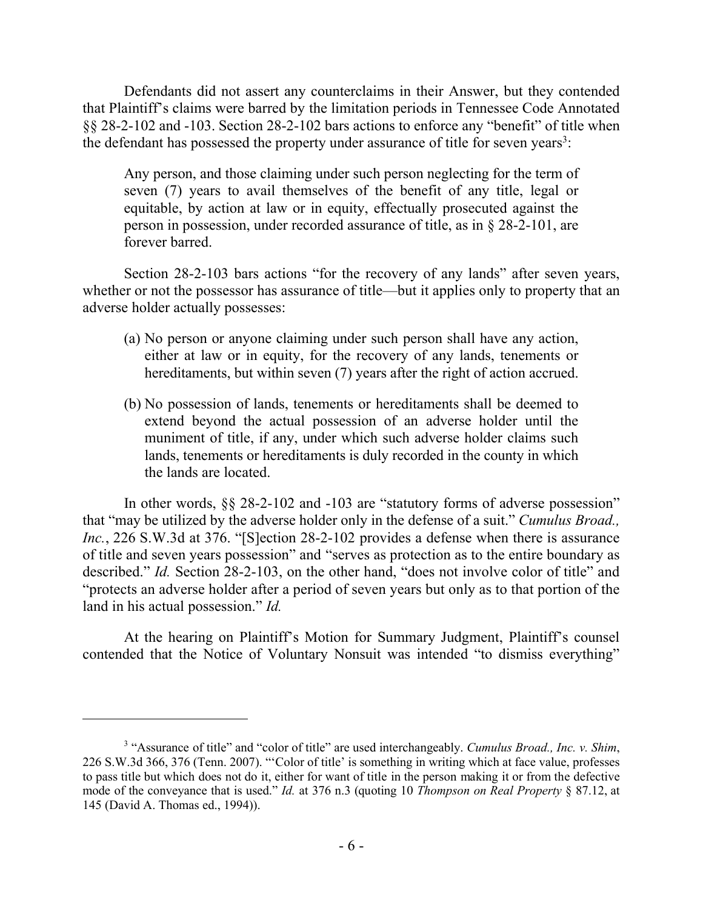Defendants did not assert any counterclaims in their Answer, but they contended that Plaintiff's claims were barred by the limitation periods in Tennessee Code Annotated §§ 28-2-102 and -103. Section 28-2-102 bars actions to enforce any "benefit" of title when the defendant has possessed the property under assurance of title for seven years<sup>3</sup>:

Any person, and those claiming under such person neglecting for the term of seven (7) years to avail themselves of the benefit of any title, legal or equitable, by action at law or in equity, effectually prosecuted against the person in possession, under recorded assurance of title, as in § 28-2-101, are forever barred.

Section 28-2-103 bars actions "for the recovery of any lands" after seven years, whether or not the possessor has assurance of title—but it applies only to property that an adverse holder actually possesses:

- (a) No person or anyone claiming under such person shall have any action, either at law or in equity, for the recovery of any lands, tenements or hereditaments, but within seven (7) years after the right of action accrued.
- (b) No possession of lands, tenements or hereditaments shall be deemed to extend beyond the actual possession of an adverse holder until the muniment of title, if any, under which such adverse holder claims such lands, tenements or hereditaments is duly recorded in the county in which the lands are located.

In other words, §§ 28-2-102 and -103 are "statutory forms of adverse possession" that "may be utilized by the adverse holder only in the defense of a suit." *Cumulus Broad., Inc.*, 226 S.W.3d at 376. "[S]ection 28-2-102 provides a defense when there is assurance of title and seven years possession" and "serves as protection as to the entire boundary as described." *Id.* Section 28-2-103, on the other hand, "does not involve color of title" and "protects an adverse holder after a period of seven years but only as to that portion of the land in his actual possession." *Id.*

At the hearing on Plaintiff's Motion for Summary Judgment, Plaintiff's counsel contended that the Notice of Voluntary Nonsuit was intended "to dismiss everything"

 $\overline{a}$ 

<sup>&</sup>lt;sup>3</sup> "Assurance of title" and "color of title" are used interchangeably. *Cumulus Broad., Inc. v. Shim*, 226 S.W.3d 366, 376 (Tenn. 2007). "'Color of title' is something in writing which at face value, professes to pass title but which does not do it, either for want of title in the person making it or from the defective mode of the conveyance that is used." *Id.* at 376 n.3 (quoting 10 *Thompson on Real Property* § 87.12, at 145 (David A. Thomas ed., 1994)).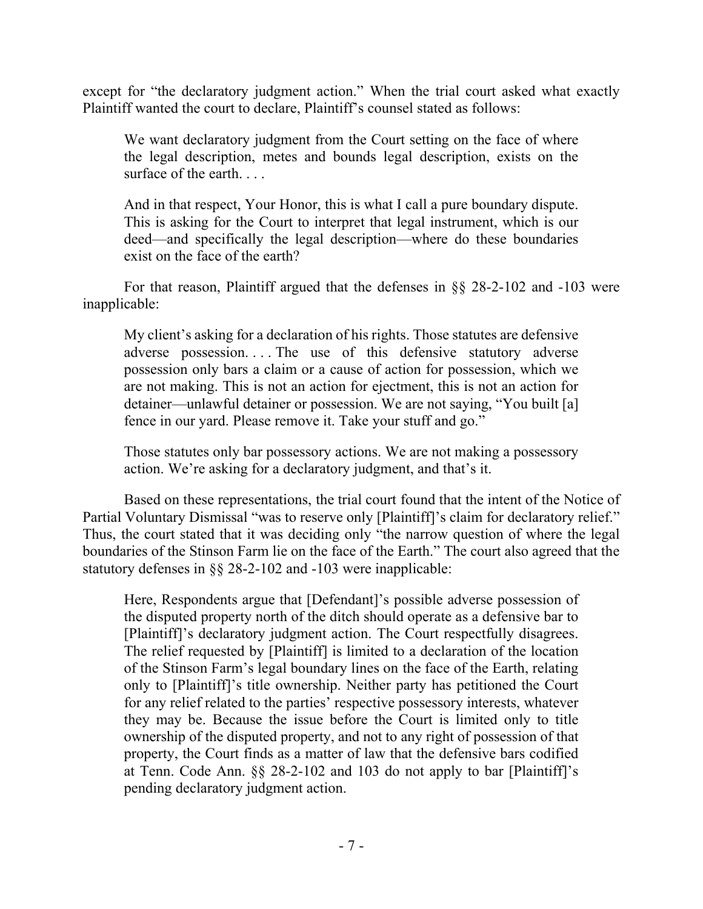except for "the declaratory judgment action." When the trial court asked what exactly Plaintiff wanted the court to declare, Plaintiff's counsel stated as follows:

We want declaratory judgment from the Court setting on the face of where the legal description, metes and bounds legal description, exists on the surface of the earth.

And in that respect, Your Honor, this is what I call a pure boundary dispute. This is asking for the Court to interpret that legal instrument, which is our deed—and specifically the legal description—where do these boundaries exist on the face of the earth?

For that reason, Plaintiff argued that the defenses in §§ 28-2-102 and -103 were inapplicable:

My client's asking for a declaration of his rights. Those statutes are defensive adverse possession. . . . The use of this defensive statutory adverse possession only bars a claim or a cause of action for possession, which we are not making. This is not an action for ejectment, this is not an action for detainer—unlawful detainer or possession. We are not saying, "You built [a] fence in our yard. Please remove it. Take your stuff and go."

Those statutes only bar possessory actions. We are not making a possessory action. We're asking for a declaratory judgment, and that's it.

Based on these representations, the trial court found that the intent of the Notice of Partial Voluntary Dismissal "was to reserve only [Plaintiff]'s claim for declaratory relief." Thus, the court stated that it was deciding only "the narrow question of where the legal boundaries of the Stinson Farm lie on the face of the Earth." The court also agreed that the statutory defenses in §§ 28-2-102 and -103 were inapplicable:

Here, Respondents argue that [Defendant]'s possible adverse possession of the disputed property north of the ditch should operate as a defensive bar to [Plaintiff]'s declaratory judgment action. The Court respectfully disagrees. The relief requested by [Plaintiff] is limited to a declaration of the location of the Stinson Farm's legal boundary lines on the face of the Earth, relating only to [Plaintiff]'s title ownership. Neither party has petitioned the Court for any relief related to the parties' respective possessory interests, whatever they may be. Because the issue before the Court is limited only to title ownership of the disputed property, and not to any right of possession of that property, the Court finds as a matter of law that the defensive bars codified at Tenn. Code Ann. §§ 28-2-102 and 103 do not apply to bar [Plaintiff]'s pending declaratory judgment action.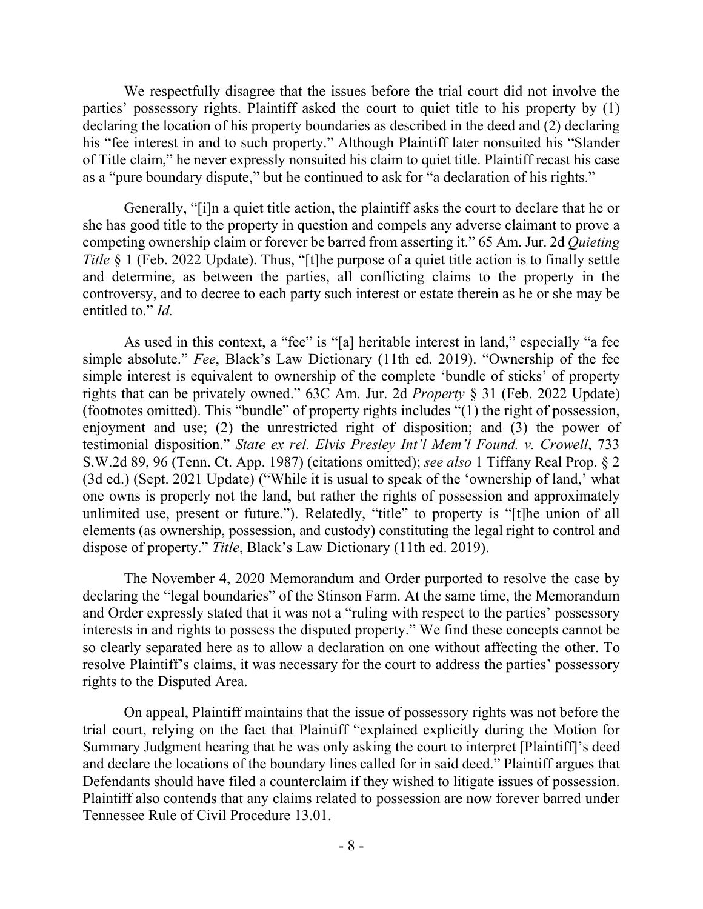We respectfully disagree that the issues before the trial court did not involve the parties' possessory rights. Plaintiff asked the court to quiet title to his property by (1) declaring the location of his property boundaries as described in the deed and (2) declaring his "fee interest in and to such property." Although Plaintiff later nonsuited his "Slander of Title claim," he never expressly nonsuited his claim to quiet title. Plaintiff recast his case as a "pure boundary dispute," but he continued to ask for "a declaration of his rights."

Generally, "[i]n a quiet title action, the plaintiff asks the court to declare that he or she has good title to the property in question and compels any adverse claimant to prove a competing ownership claim or forever be barred from asserting it." 65 Am. Jur. 2d *Quieting Title* § 1 (Feb. 2022 Update). Thus, "[t]he purpose of a quiet title action is to finally settle and determine, as between the parties, all conflicting claims to the property in the controversy, and to decree to each party such interest or estate therein as he or she may be entitled to." *Id.*

As used in this context, a "fee" is "[a] heritable interest in land," especially "a fee simple absolute." *Fee*, Black's Law Dictionary (11th ed. 2019). "Ownership of the fee simple interest is equivalent to ownership of the complete 'bundle of sticks' of property rights that can be privately owned." 63C Am. Jur. 2d *Property* § 31 (Feb. 2022 Update) (footnotes omitted). This "bundle" of property rights includes "(1) the right of possession, enjoyment and use; (2) the unrestricted right of disposition; and (3) the power of testimonial disposition." *State ex rel. Elvis Presley Int'l Mem'l Found. v. Crowell*, 733 S.W.2d 89, 96 (Tenn. Ct. App. 1987) (citations omitted); *see also* 1 Tiffany Real Prop. § 2 (3d ed.) (Sept. 2021 Update) ("While it is usual to speak of the 'ownership of land,' what one owns is properly not the land, but rather the rights of possession and approximately unlimited use, present or future."). Relatedly, "title" to property is "[t]he union of all elements (as ownership, possession, and custody) constituting the legal right to control and dispose of property." *Title*, Black's Law Dictionary (11th ed. 2019).

The November 4, 2020 Memorandum and Order purported to resolve the case by declaring the "legal boundaries" of the Stinson Farm. At the same time, the Memorandum and Order expressly stated that it was not a "ruling with respect to the parties' possessory interests in and rights to possess the disputed property." We find these concepts cannot be so clearly separated here as to allow a declaration on one without affecting the other. To resolve Plaintiff's claims, it was necessary for the court to address the parties' possessory rights to the Disputed Area.

On appeal, Plaintiff maintains that the issue of possessory rights was not before the trial court, relying on the fact that Plaintiff "explained explicitly during the Motion for Summary Judgment hearing that he was only asking the court to interpret [Plaintiff]'s deed and declare the locations of the boundary lines called for in said deed." Plaintiff argues that Defendants should have filed a counterclaim if they wished to litigate issues of possession. Plaintiff also contends that any claims related to possession are now forever barred under Tennessee Rule of Civil Procedure 13.01.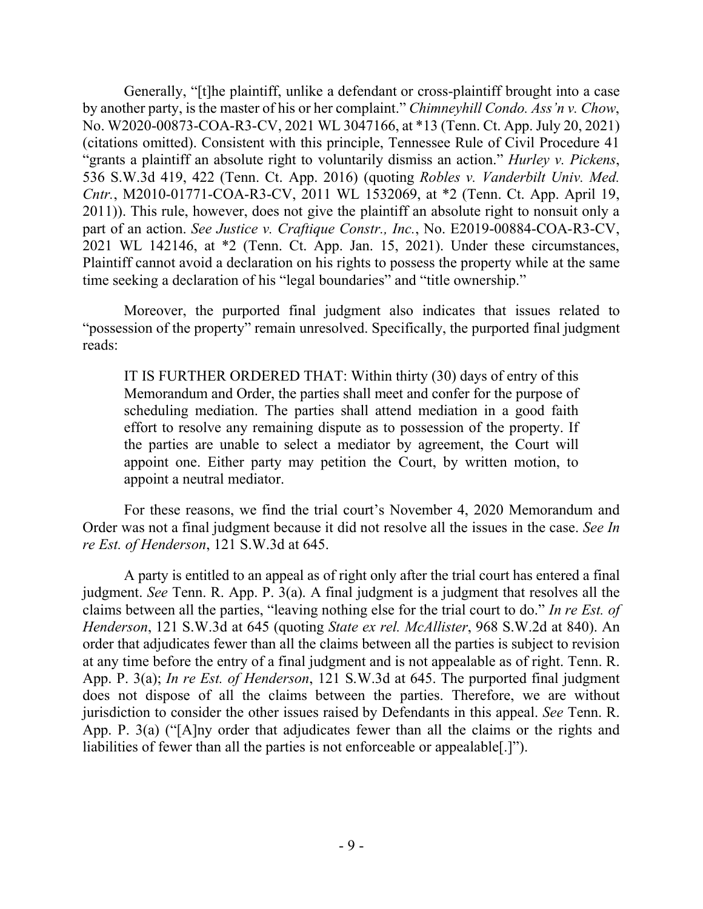Generally, "[t]he plaintiff, unlike a defendant or cross-plaintiff brought into a case by another party, is the master of his or her complaint." *Chimneyhill Condo. Ass'n v. Chow*, No. W2020-00873-COA-R3-CV, 2021 WL 3047166, at \*13 (Tenn. Ct. App. July 20, 2021) (citations omitted). Consistent with this principle, Tennessee Rule of Civil Procedure 41 "grants a plaintiff an absolute right to voluntarily dismiss an action." *Hurley v. Pickens*, 536 S.W.3d 419, 422 (Tenn. Ct. App. 2016) (quoting *Robles v. Vanderbilt Univ. Med. Cntr.*, M2010-01771-COA-R3-CV, 2011 WL 1532069, at \*2 (Tenn. Ct. App. April 19, 2011)). This rule, however, does not give the plaintiff an absolute right to nonsuit only a part of an action. *See Justice v. Craftique Constr., Inc.*, No. E2019-00884-COA-R3-CV, 2021 WL 142146, at \*2 (Tenn. Ct. App. Jan. 15, 2021). Under these circumstances, Plaintiff cannot avoid a declaration on his rights to possess the property while at the same time seeking a declaration of his "legal boundaries" and "title ownership."

Moreover, the purported final judgment also indicates that issues related to "possession of the property" remain unresolved. Specifically, the purported final judgment reads:

IT IS FURTHER ORDERED THAT: Within thirty (30) days of entry of this Memorandum and Order, the parties shall meet and confer for the purpose of scheduling mediation. The parties shall attend mediation in a good faith effort to resolve any remaining dispute as to possession of the property. If the parties are unable to select a mediator by agreement, the Court will appoint one. Either party may petition the Court, by written motion, to appoint a neutral mediator.

For these reasons, we find the trial court's November 4, 2020 Memorandum and Order was not a final judgment because it did not resolve all the issues in the case. *See In re Est. of Henderson*, 121 S.W.3d at 645.

A party is entitled to an appeal as of right only after the trial court has entered a final judgment. *See* Tenn. R. App. P. 3(a). A final judgment is a judgment that resolves all the claims between all the parties, "leaving nothing else for the trial court to do." *In re Est. of Henderson*, 121 S.W.3d at 645 (quoting *State ex rel. McAllister*, 968 S.W.2d at 840). An order that adjudicates fewer than all the claims between all the parties is subject to revision at any time before the entry of a final judgment and is not appealable as of right. Tenn. R. App. P. 3(a); *In re Est. of Henderson*, 121 S.W.3d at 645. The purported final judgment does not dispose of all the claims between the parties. Therefore, we are without jurisdiction to consider the other issues raised by Defendants in this appeal. *See* Tenn. R. App. P. 3(a) ("[A]ny order that adjudicates fewer than all the claims or the rights and liabilities of fewer than all the parties is not enforceable or appealable[.]").